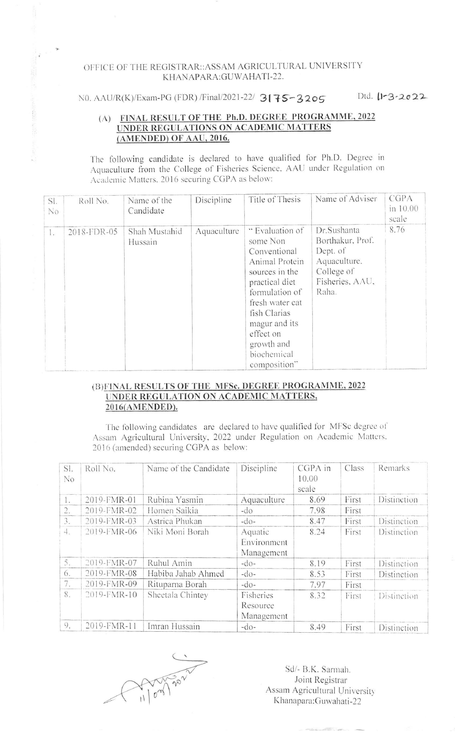## OFFICE OF THE REGISTRAR: ASSAM AGRICULTURAL UNIVERSITY KHANAPARA: GUWAHATI-22.

NO. AAU/R(K)/Exam-PG (FDR) /Final/2021-22/ 3175-3205 Dtd. 11-3-2022

## (A) FINAL RESULT OF THE Ph.D. DEGREE PROGRAMME, 2022 UNDER REGULATIONS ON ACADEMIC MATTERS (AMENDED) OF AAU, 2016.

The following candidate is declared to have qualified for Ph.D. Degree in Aquaculture from the College of Fisheries Science, AAU under Regulation on Academic Matters, 2016 securing CGPA as below:

| SI.<br>No    | Roll No.    | Name of the<br>Candidate | Discipline  | Title of Thesis                                                                                                                                                                                                                   | Name of Adviser                                                                                       | CGPA<br>in 10.00<br>scale |
|--------------|-------------|--------------------------|-------------|-----------------------------------------------------------------------------------------------------------------------------------------------------------------------------------------------------------------------------------|-------------------------------------------------------------------------------------------------------|---------------------------|
| $\mathbf{L}$ | 2018-FDR-05 | Shah Mustahid<br>Hussain | Aquaculture | " Evaluation of<br>some Non<br>Conventional<br>Animal Protein<br>sources in the<br>practical diet<br>formulation of<br>fresh water cat<br>fish Clarias<br>magur and its<br>effect on<br>growth and<br>biochemical<br>composition" | Dr.Sushanta<br>Borthakur, Prof.<br>Dept. of<br>Aquaculture.<br>College of<br>Fisheries, AAU,<br>Raha. | 8.76                      |

## (B) FINAL RESULTS OF THE MFSc. DEGREE PROGRAMME, 2022 UNDER REGULATION ON ACADEMIC MATTERS, 2016(AMENDED).

The following candidates are declared to have qualified for MFSc degree of Assam Agricultural University, 2022 under Regulation on Academic Matters. 2016 (amended) securing CGPA as below:

| SI.<br>N <sub>o</sub> | Roll No.    | Name of the Candidate | Discipline                           | CGPA in<br>10.00<br>scale | Class | Remarks     |
|-----------------------|-------------|-----------------------|--------------------------------------|---------------------------|-------|-------------|
| $\mathbf{1}$ .        | 2019-FMR-01 | Rubina Yasmin         | Aquaculture                          | 8.69                      | First | Distinction |
| 2.                    | 2019-FMR-02 | Homen Saikia          | $-do$                                | 7.98                      | First |             |
| 3.                    | 2019-FMR-03 | Astrica Phukan        | $-do-$                               | 8.47                      | First | Distinction |
| 4.                    | 2019-FMR-06 | Niki Moni Borah       | Aquatic<br>Environment<br>Management | 8.24                      | First | Distinction |
| 5.                    | 2019-FMR-07 | Ruhul Amin            | $-do-$                               | 8.19                      | First | Distinction |
| 6.                    | 2019-FMR-08 | Habiba Jahab Ahmed    | $-do-$                               | 8.53                      | First | Distinction |
| 7.                    | 2019-FMR-09 | Rituparna Borah       | $-do-$                               | 7.97                      | First |             |
| 8.                    | 2019-FMR-10 | Sheetala Chintey      | Fisheries<br>Resource<br>Management  | 8.32                      | First | Distinction |
| 9.                    | 2019-FMR-11 | Imran Hussain         | $-do-$                               | 8.49                      | First | Distinction |

Sd/- B.K. Sarmah. Joint Registrar Assam Agricultural University Khanapara: Guwahati-22